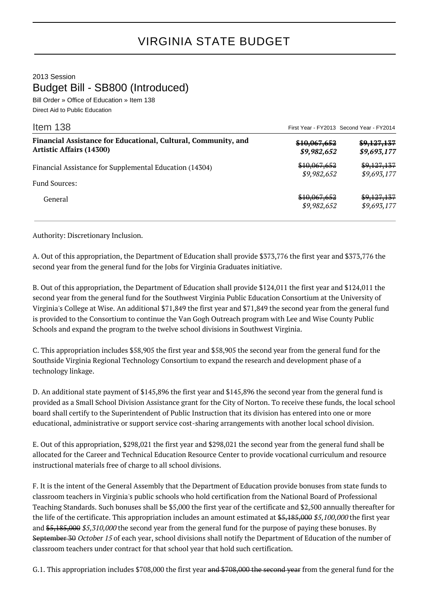## VIRGINIA STATE BUDGET

2013 Session Budget Bill - SB800 (Introduced)

Bill Order » Office of Education » Item 138 Direct Aid to Public Education

| Item 138                                                                                          | First Year - FY2013 Second Year - FY2014 |                            |
|---------------------------------------------------------------------------------------------------|------------------------------------------|----------------------------|
| Financial Assistance for Educational, Cultural, Community, and<br><b>Artistic Affairs (14300)</b> | \$10,067,652<br>\$9,982,652              | \$9,127,137<br>\$9,693,177 |
| Financial Assistance for Supplemental Education (14304)                                           | \$10,067,652<br>\$9,982,652              | \$9,127,137<br>\$9,693,177 |
| <b>Fund Sources:</b>                                                                              |                                          |                            |
| General                                                                                           | \$10,067,652<br>\$9,982,652              | \$9,127,137<br>\$9,693,177 |

Authority: Discretionary Inclusion.

A. Out of this appropriation, the Department of Education shall provide \$373,776 the first year and \$373,776 the second year from the general fund for the Jobs for Virginia Graduates initiative.

B. Out of this appropriation, the Department of Education shall provide \$124,011 the first year and \$124,011 the second year from the general fund for the Southwest Virginia Public Education Consortium at the University of Virginia's College at Wise. An additional \$71,849 the first year and \$71,849 the second year from the general fund is provided to the Consortium to continue the Van Gogh Outreach program with Lee and Wise County Public Schools and expand the program to the twelve school divisions in Southwest Virginia.

C. This appropriation includes \$58,905 the first year and \$58,905 the second year from the general fund for the Southside Virginia Regional Technology Consortium to expand the research and development phase of a technology linkage.

D. An additional state payment of \$145,896 the first year and \$145,896 the second year from the general fund is provided as a Small School Division Assistance grant for the City of Norton. To receive these funds, the local school board shall certify to the Superintendent of Public Instruction that its division has entered into one or more educational, administrative or support service cost-sharing arrangements with another local school division.

E. Out of this appropriation, \$298,021 the first year and \$298,021 the second year from the general fund shall be allocated for the Career and Technical Education Resource Center to provide vocational curriculum and resource instructional materials free of charge to all school divisions.

F. It is the intent of the General Assembly that the Department of Education provide bonuses from state funds to classroom teachers in Virginia's public schools who hold certification from the National Board of Professional Teaching Standards. Such bonuses shall be \$5,000 the first year of the certificate and \$2,500 annually thereafter for the life of the certificate. This appropriation includes an amount estimated at \$5,185,000 \$5,100,000 the first year and \$5,185,000 \$5,310,000 the second year from the general fund for the purpose of paying these bonuses. By September 30 October 15 of each year, school divisions shall notify the Department of Education of the number of classroom teachers under contract for that school year that hold such certification.

G.1. This appropriation includes \$708,000 the first year and \$708,000 the second year from the general fund for the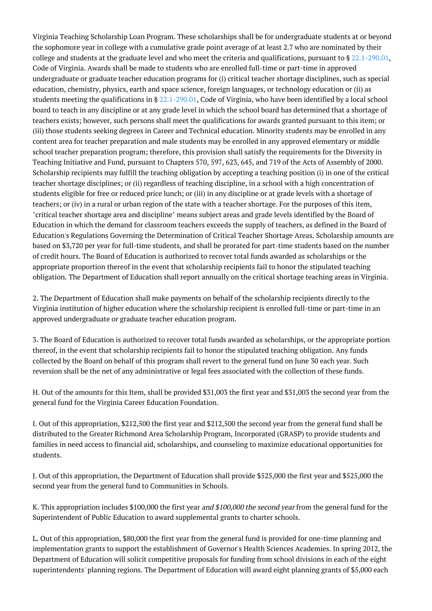Virginia Teaching Scholarship Loan Program. These scholarships shall be for undergraduate students at or beyond the sophomore year in college with a cumulative grade point average of at least 2.7 who are nominated by their college and students at the graduate level and who meet the criteria and qualifications, pursuant to  $\S 22.1-290.01$ , Code of Virginia. Awards shall be made to students who are enrolled full-time or part-time in approved undergraduate or graduate teacher education programs for (i) critical teacher shortage disciplines, such as special education, chemistry, physics, earth and space science, foreign languages, or technology education or (ii) as students meeting the qualifications in §  $22.1-290.01$ , Code of Virginia, who have been identified by a local school board to teach in any discipline or at any grade level in which the school board has determined that a shortage of teachers exists; however, such persons shall meet the qualifications for awards granted pursuant to this item; or (iii) those students seeking degrees in Career and Technical education. Minority students may be enrolled in any content area for teacher preparation and male students may be enrolled in any approved elementary or middle school teacher preparation program; therefore, this provision shall satisfy the requirements for the Diversity in Teaching Initiative and Fund, pursuant to Chapters 570, 597, 623, 645, and 719 of the Acts of Assembly of 2000. Scholarship recipients may fulfill the teaching obligation by accepting a teaching position (i) in one of the critical teacher shortage disciplines; or (ii) regardless of teaching discipline, in a school with a high concentration of students eligible for free or reduced price lunch; or (iii) in any discipline or at grade levels with a shortage of teachers; or (iv) in a rural or urban region of the state with a teacher shortage. For the purposes of this item, "critical teacher shortage area and discipline" means subject areas and grade levels identified by the Board of Education in which the demand for classroom teachers exceeds the supply of teachers, as defined in the Board of Education's Regulations Governing the Determination of Critical Teacher Shortage Areas. Scholarship amounts are based on \$3,720 per year for full-time students, and shall be prorated for part-time students based on the number of credit hours. The Board of Education is authorized to recover total funds awarded as scholarships or the appropriate proportion thereof in the event that scholarship recipients fail to honor the stipulated teaching obligation. The Department of Education shall report annually on the critical shortage teaching areas in Virginia.

2. The Department of Education shall make payments on behalf of the scholarship recipients directly to the Virginia institution of higher education where the scholarship recipient is enrolled full-time or part-time in an approved undergraduate or graduate teacher education program.

3. The Board of Education is authorized to recover total funds awarded as scholarships, or the appropriate portion thereof, in the event that scholarship recipients fail to honor the stipulated teaching obligation. Any funds collected by the Board on behalf of this program shall revert to the general fund on June 30 each year. Such reversion shall be the net of any administrative or legal fees associated with the collection of these funds.

H. Out of the amounts for this Item, shall be provided \$31,003 the first year and \$31,003 the second year from the general fund for the Virginia Career Education Foundation.

I. Out of this appropriation, \$212,500 the first year and \$212,500 the second year from the general fund shall be distributed to the Greater Richmond Area Scholarship Program, Incorporated (GRASP) to provide students and families in need access to financial aid, scholarships, and counseling to maximize educational opportunities for students.

J. Out of this appropriation, the Department of Education shall provide \$525,000 the first year and \$525,000 the second year from the general fund to Communities in Schools.

K. This appropriation includes \$100,000 the first year and \$100,000 the second year from the general fund for the Superintendent of Public Education to award supplemental grants to charter schools.

L. Out of this appropriation, \$80,000 the first year from the general fund is provided for one-time planning and implementation grants to support the establishment of Governor's Health Sciences Academies. In spring 2012, the Department of Education will solicit competitive proposals for funding from school divisions in each of the eight superintendents' planning regions. The Department of Education will award eight planning grants of \$5,000 each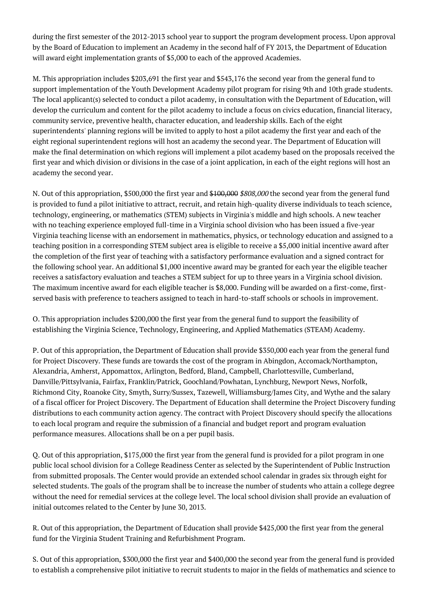during the first semester of the 2012-2013 school year to support the program development process. Upon approval by the Board of Education to implement an Academy in the second half of FY 2013, the Department of Education will award eight implementation grants of \$5,000 to each of the approved Academies.

M. This appropriation includes \$203,691 the first year and \$543,176 the second year from the general fund to support implementation of the Youth Development Academy pilot program for rising 9th and 10th grade students. The local applicant(s) selected to conduct a pilot academy, in consultation with the Department of Education, will develop the curriculum and content for the pilot academy to include a focus on civics education, financial literacy, community service, preventive health, character education, and leadership skills. Each of the eight superintendents' planning regions will be invited to apply to host a pilot academy the first year and each of the eight regional superintendent regions will host an academy the second year. The Department of Education will make the final determination on which regions will implement a pilot academy based on the proposals received the first year and which division or divisions in the case of a joint application, in each of the eight regions will host an academy the second year.

N. Out of this appropriation, \$500,000 the first year and \$100,000 \$808,000 the second year from the general fund is provided to fund a pilot initiative to attract, recruit, and retain high-quality diverse individuals to teach science, technology, engineering, or mathematics (STEM) subjects in Virginia's middle and high schools. A new teacher with no teaching experience employed full-time in a Virginia school division who has been issued a five-year Virginia teaching license with an endorsement in mathematics, physics, or technology education and assigned to a teaching position in a corresponding STEM subject area is eligible to receive a \$5,000 initial incentive award after the completion of the first year of teaching with a satisfactory performance evaluation and a signed contract for the following school year. An additional \$1,000 incentive award may be granted for each year the eligible teacher receives a satisfactory evaluation and teaches a STEM subject for up to three years in a Virginia school division. The maximum incentive award for each eligible teacher is \$8,000. Funding will be awarded on a first-come, firstserved basis with preference to teachers assigned to teach in hard-to-staff schools or schools in improvement.

O. This appropriation includes \$200,000 the first year from the general fund to support the feasibility of establishing the Virginia Science, Technology, Engineering, and Applied Mathematics (STEAM) Academy.

P. Out of this appropriation, the Department of Education shall provide \$350,000 each year from the general fund for Project Discovery. These funds are towards the cost of the program in Abingdon, Accomack/Northampton, Alexandria, Amherst, Appomattox, Arlington, Bedford, Bland, Campbell, Charlottesville, Cumberland, Danville/Pittsylvania, Fairfax, Franklin/Patrick, Goochland/Powhatan, Lynchburg, Newport News, Norfolk, Richmond City, Roanoke City, Smyth, Surry/Sussex, Tazewell, Williamsburg/James City, and Wythe and the salary of a fiscal officer for Project Discovery. The Department of Education shall determine the Project Discovery funding distributions to each community action agency. The contract with Project Discovery should specify the allocations to each local program and require the submission of a financial and budget report and program evaluation performance measures. Allocations shall be on a per pupil basis.

Q. Out of this appropriation, \$175,000 the first year from the general fund is provided for a pilot program in one public local school division for a College Readiness Center as selected by the Superintendent of Public Instruction from submitted proposals. The Center would provide an extended school calendar in grades six through eight for selected students. The goals of the program shall be to increase the number of students who attain a college degree without the need for remedial services at the college level. The local school division shall provide an evaluation of initial outcomes related to the Center by June 30, 2013.

R. Out of this appropriation, the Department of Education shall provide \$425,000 the first year from the general fund for the Virginia Student Training and Refurbishment Program.

S. Out of this appropriation, \$300,000 the first year and \$400,000 the second year from the general fund is provided to establish a comprehensive pilot initiative to recruit students to major in the fields of mathematics and science to